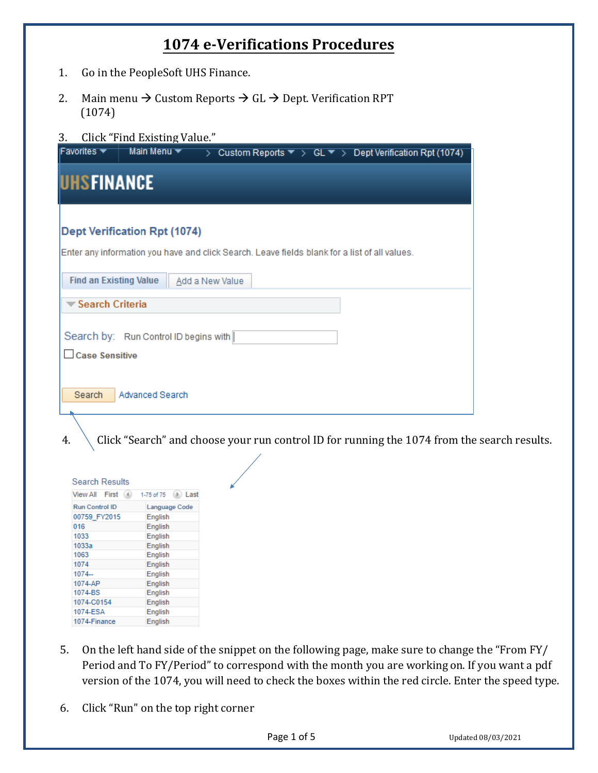## **1074 e-Verifications Procedures**

- 1. Go in the PeopleSoft UHS Finance.
- 2. Main menu  $\rightarrow$  Custom Reports  $\rightarrow$  GL  $\rightarrow$  Dept. Verification RPT (1074)
- 3. Click "Find Existing Value."

| Favorites $\blacktriangledown$ | Main Menu v<br>Custom Reports $\blacktriangledown$ > GL $\blacktriangledown$ > Dept Verification Rpt (1074)<br>$\rightarrow$ |
|--------------------------------|------------------------------------------------------------------------------------------------------------------------------|
| UHSFINANCE                     |                                                                                                                              |
|                                | <b>Dept Verification Rpt (1074)</b>                                                                                          |
| <b>Find an Existing Value</b>  | Enter any information you have and click Search. Leave fields blank for a list of all values.<br>Add a New Value             |
| <b>▼ Search Criteria</b>       |                                                                                                                              |
|                                | Search by: Run Control ID begins with                                                                                        |
| Case Sensitive                 |                                                                                                                              |
| Search                         | Advanced Search                                                                                                              |

4.  $\setminus$  Click "Search" and choose your run control ID for running the 1074 from the search results.

| View All First        | 1-75 of 75 $(h)$ Last |
|-----------------------|-----------------------|
| <b>Run Control ID</b> | Language Code         |
| 00759 FY2015          | English               |
| 016                   | English               |
| 1033                  | English               |
| 1033a                 | English               |
| 1063                  | English               |
| 1074                  | English               |
| $1074-$               | English               |
| 1074-AP               | English               |
| 1074-BS               | English               |
| 1074-C0154            | English               |
| 1074-ESA              | English               |
| 1074-Finance          | English               |

- 5. On the left hand side of the snippet on the following page, make sure to change the "From FY/ Period and To FY/Period" to correspond with the month you are working on. If you want a pdf version of the 1074, you will need to check the boxes within the red circle. Enter the speed type.
- 6. Click "Run" on the top right corner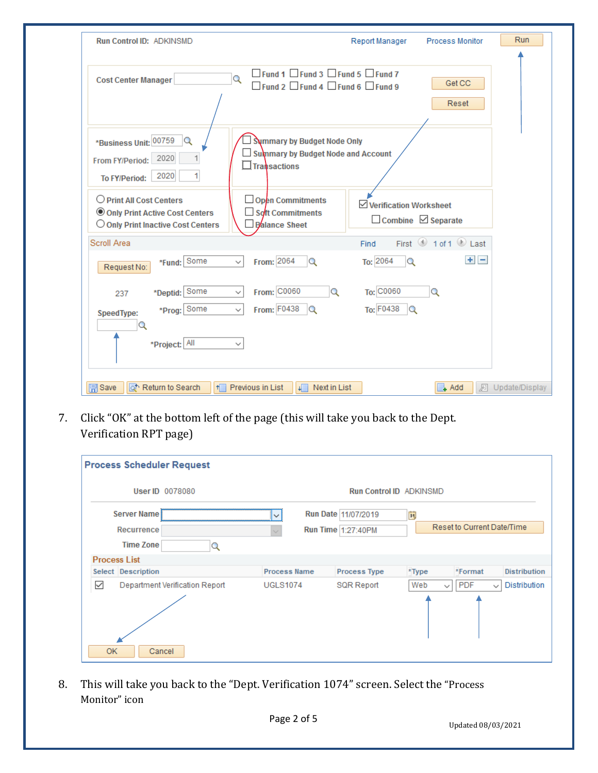| <b>Run Control ID: ADKINSMD</b>                                                                           |                                                                                                                         | Report Manager         | <b>Process Monitor</b>                  | Run              |
|-----------------------------------------------------------------------------------------------------------|-------------------------------------------------------------------------------------------------------------------------|------------------------|-----------------------------------------|------------------|
| <b>Cost Center Manager</b>                                                                                | $\Box$ Fund 1 $\Box$ Fund 3 $\Box$ Fund 5 $\Box$ Fund 7<br>Q<br>$\Box$ Fund 2 $\Box$ Fund 4 $\Box$ Fund 6 $\Box$ Fund 9 |                        | Get CC<br>Reset                         |                  |
| *Business Unit: 00759<br>$\circ$<br>2020<br>From FY/Period:<br>2020<br>1<br>To FY/Period:                 | Summary by Budget Node Only<br>Summary by Budget Node and Account<br>$\Box$ Transactions                                |                        |                                         |                  |
| O Print All Cost Centers<br>Only Print Active Cost Centers<br>$\bigcirc$ Only Print Inactive Cost Centers | $\Box$ Open Commitments<br>Soft Commitments<br>Balance Sheet                                                            | Verification Worksheet | $\Box$ Combine $\Box$ Separate          |                  |
| Scroll Area                                                                                               |                                                                                                                         | Find                   | First $\bigcirc$ 1 of 1 $\bigcirc$ Last |                  |
| *Fund: Some<br>Request No:                                                                                | From: 2064<br>$\alpha$<br>$\backsim$ 1                                                                                  | To: 2064<br>$\alpha$   | $+$ $-$                                 |                  |
| *Deptid: Some<br>237                                                                                      | From: C0060<br>Q<br>$\checkmark$                                                                                        | To: C0060              | Q                                       |                  |
| *Prog: Some<br>SpeedType:<br>Q                                                                            | From: F0438<br>$\checkmark$<br>$\Omega$                                                                                 | To: F0438<br>$\alpha$  |                                         |                  |
| *Project: All                                                                                             |                                                                                                                         |                        |                                         |                  |
| o Return to Search<br><b>開</b> Save<br>H                                                                  | Previous in List<br>Next in List<br>坦                                                                                   |                        | ≣L Add                                  | 圆 Update/Display |

7. Click "OK" at the bottom left of the page (this will take you back to the Dept. Verification RPT page)

| <b>Process Scheduler Request</b>    |                     |                     |                                |                                            |
|-------------------------------------|---------------------|---------------------|--------------------------------|--------------------------------------------|
| User ID 0078080                     |                     |                     | <b>Run Control ID ADKINSMD</b> |                                            |
| Server Name!                        | $\check{~}$         | Run Date 11/07/2019 | 禸                              |                                            |
| <b>Recurrence</b>                   |                     | Run Time 1:27:40PM  |                                | Reset to Current Date/Time                 |
| <b>Time Zone</b>                    |                     |                     |                                |                                            |
| <b>Process List</b>                 |                     |                     |                                |                                            |
| Select Description                  | <b>Process Name</b> | <b>Process Type</b> | *Type                          | *Format<br><b>Distribution</b>             |
| ✓<br>Department Verification Report | <b>UGLS1074</b>     | <b>SQR Report</b>   | Web<br>$\checkmark$            | <b>PDF</b><br>Distribution<br>$\checkmark$ |
| <b>OK</b><br>Cancel                 |                     |                     |                                |                                            |

8. This will take you back to the "Dept. Verification 1074" screen. Select the "Process Monitor" icon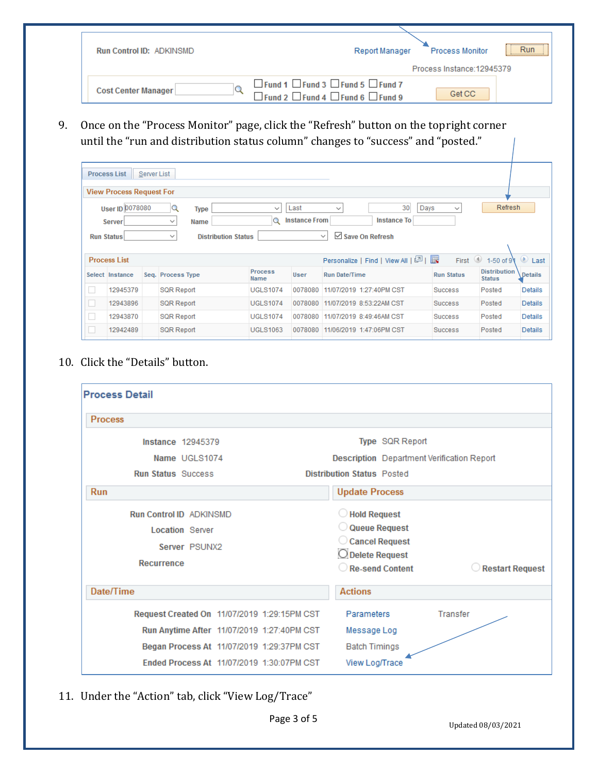| <b>Run Control ID: ADKINSMD</b> | Run<br><b>Process Monitor</b><br>Report Manager                                                                              |
|---------------------------------|------------------------------------------------------------------------------------------------------------------------------|
|                                 | Process Instance: 12945379                                                                                                   |
| Cost Center Manager             | $\Box$ Fund 1 $\Box$ Fund 3 $\Box$ Fund 5 $\Box$ Fund 7<br>Get CC<br>$\Box$ Fund 2 $\Box$ Fund 4 $\Box$ Fund 6 $\Box$ Fund 9 |

9. Once on the "Process Monitor" page, click the "Refresh" button on the topright corner until the "run and distribution status column" changes to "success" and "posted."

|   | <b>Process List</b><br><b>View Process Request For</b>                                                                                                                                                                                                                                                                                         | Server List |                   |                 |         |                                   |                   |                                      |                 |  |
|---|------------------------------------------------------------------------------------------------------------------------------------------------------------------------------------------------------------------------------------------------------------------------------------------------------------------------------------------------|-------------|-------------------|-----------------|---------|-----------------------------------|-------------------|--------------------------------------|-----------------|--|
|   | 30<br><b>User ID 0078080</b><br><b>Refresh</b><br>Days<br>Q<br>Last<br>$\checkmark$<br>Type<br>$\checkmark$<br>$\checkmark$<br><b>Instance From</b><br><b>Instance To</b><br>Q<br><b>Server</b><br>$\checkmark$<br>Name<br>$\triangleright$ Save On Refresh<br><b>Distribution Status</b><br><b>Run Status</b><br>$\checkmark$<br>$\checkmark$ |             |                   |                 |         |                                   |                   |                                      |                 |  |
|   | <b>Process List</b>                                                                                                                                                                                                                                                                                                                            |             |                   |                 |         | Personalize   Find   View All   2 | First             | 4 1-50 of 9                          | $\circ$<br>Last |  |
|   | Select Instance                                                                                                                                                                                                                                                                                                                                |             | Seq. Process Type | Process<br>Name | User    | <b>Run Date/Time</b>              | <b>Run Status</b> | <b>Distribution</b><br><b>Status</b> | Details         |  |
|   | 12945379                                                                                                                                                                                                                                                                                                                                       |             | <b>SQR Report</b> | <b>UGLS1074</b> | 0078080 | 11/07/2019 1:27:40PM CST          | <b>Success</b>    | Posted                               | Details         |  |
|   | 12943896                                                                                                                                                                                                                                                                                                                                       |             | <b>SQR Report</b> | <b>UGLS1074</b> | 0078080 | 11/07/2019 8:53:22AM CST          | <b>Success</b>    | Posted                               | <b>Details</b>  |  |
| □ | 12943870                                                                                                                                                                                                                                                                                                                                       |             | <b>SQR Report</b> | <b>UGLS1074</b> | 0078080 | 11/07/2019 8:49:46AM CST          | <b>Success</b>    | Posted                               | Details         |  |
|   |                                                                                                                                                                                                                                                                                                                                                |             |                   |                 |         |                                   |                   |                                      |                 |  |

## 10. Click the "Details" button.

| <b>Process Detail</b>                                                                          |                                                                                                                  |
|------------------------------------------------------------------------------------------------|------------------------------------------------------------------------------------------------------------------|
| <b>Process</b>                                                                                 |                                                                                                                  |
| <b>Instance 12945379</b>                                                                       | Type SQR Report                                                                                                  |
| Name UGLS1074                                                                                  | <b>Description</b> Department Verification Report                                                                |
| <b>Run Status Success</b>                                                                      | <b>Distribution Status Posted</b>                                                                                |
| <b>Run</b>                                                                                     | <b>Update Process</b>                                                                                            |
| <b>Run Control ID ADKINSMD</b><br><b>Location Server</b><br>Server PSUNX2<br><b>Recurrence</b> | Hold Request<br>Queue Request<br>Cancel Request<br>O Delete Request<br>Re-send Content<br><b>Restart Request</b> |
| Date/Time                                                                                      | <b>Actions</b>                                                                                                   |
| Request Created On 11/07/2019 1:29:15PM CST                                                    | Parameters<br>Transfer                                                                                           |
| Run Anytime After 11/07/2019 1:27:40PM CST                                                     | Message Log                                                                                                      |
| Began Process At 11/07/2019 1:29:37PM CST                                                      | <b>Batch Timings</b>                                                                                             |
| Ended Process At 11/07/2019 1:30:07PM CST                                                      | View Log/Trace                                                                                                   |

11. Under the "Action" tab, click "View Log/Trace"

Page 3 of 5

Updated 08/03/2021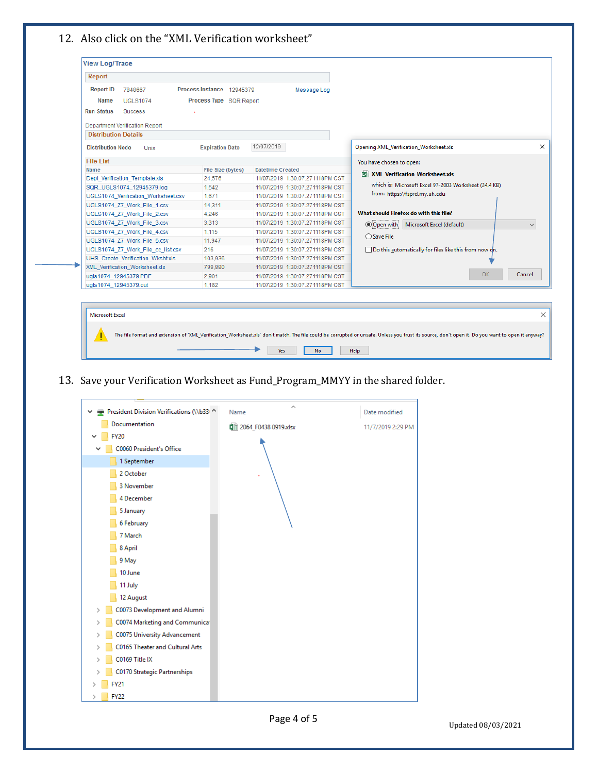## 12. Also click on the "XML Verification worksheet"

| Report                                |                                     |                         |                                 |                                                        |                           |
|---------------------------------------|-------------------------------------|-------------------------|---------------------------------|--------------------------------------------------------|---------------------------|
| <b>Report ID</b><br>7848667           | <b>Process Instance</b><br>12945379 |                         | Message Log                     |                                                        |                           |
| <b>Name</b><br><b>UGLS1074</b>        | Process Type SQR Report             |                         |                                 |                                                        |                           |
| <b>Run Status</b><br><b>Success</b>   |                                     |                         |                                 |                                                        |                           |
| <b>Department Verification Report</b> |                                     |                         |                                 |                                                        |                           |
| <b>Distribution Details</b>           |                                     |                         |                                 |                                                        |                           |
| <b>Distribution Node</b><br>Unix      | <b>Expiration Date</b>              | 12/07/2019              |                                 | Opening XML Verification Worksheet.xls                 |                           |
| <b>File List</b>                      |                                     |                         |                                 | You have chosen to open:                               |                           |
| <b>Name</b>                           | File Size (bytes)                   | <b>Datetime Created</b> |                                 | XML_Verification_Worksheet.xls                         |                           |
| Dept_Verification_Template.xls        | 24.576                              |                         | 11/07/2019 1:30:07.271118PM CST |                                                        |                           |
| SQR UGLS1074 12945379.log             | 1.542                               |                         | 11/07/2019 1:30:07.271118PM CST | which is: Microsoft Excel 97-2003 Worksheet (24.4 KB)  |                           |
| UGLS1074_Verification_Worksheet.csv   | 1.671                               |                         | 11/07/2019 1:30:07.271118PM CST | from: https://fsprd.my.uh.edu                          |                           |
| UGLS1074 Z7 Work File 1.csv           | 14.311                              |                         | 11/07/2019 1:30:07.271118PM CST |                                                        |                           |
| UGLS1074 Z7 Work File 2.csv           | 4.246                               |                         | 11/07/2019 1:30:07.271118PM CST | What should Firefox do with this file?                 |                           |
| UGLS1074 Z7 Work File 3.csv           | 3.313                               |                         | 11/07/2019 1:30:07.271118PM CST | O Open with                                            | Microsoft Excel (default) |
| UGLS1074 Z7 Work File 4.csv           | 1.115                               |                         | 11/07/2019 1:30:07.271118PM CST | $\bigcirc$ Save File                                   |                           |
| UGLS1074_Z7_Work_File_5.csv           | 11,947                              |                         | 11/07/2019 1:30:07.271118PM CST |                                                        |                           |
| UGLS1074_Z7_Work_File_cc_list.csv     | 216                                 |                         | 11/07/2019 1:30:07.271118PM CST | Do this automatically for files like this from now oh. |                           |
| UHS_Create_Verification_Wksht.xls     | 103.936                             |                         | 11/07/2019 1:30:07.271118PM CST |                                                        |                           |
| XML_Verification_Worksheet.xls        | 799,880                             |                         | 11/07/2019 1:30:07.271118PM CST |                                                        |                           |
| ugls1074 12945379.PDF                 | 2.901                               |                         | 11/07/2019 1:30:07.271118PM CST |                                                        |                           |
| ugls1074 12945379.out                 | 1.182                               |                         | 11/07/2019 1:30:07.271118PM CST |                                                        |                           |

Microsoft Excel  $\times$ The file format and extension of 'XML\_Verification\_Worksheet.xls' don't match. The file could be corrupted or unsafe. Unless you trust its source, don't open it. Do you want to open it anyway? ٠  $\gamma_{\text{ES}}$  $\blacksquare$  No.  $\blacksquare$  $\ensuremath{\mathsf{Help}}\xspace$ 

## 13. Save your Verification Worksheet as Fund\_Program\_MMYY in the shared folder.



Updated 08/03/2021